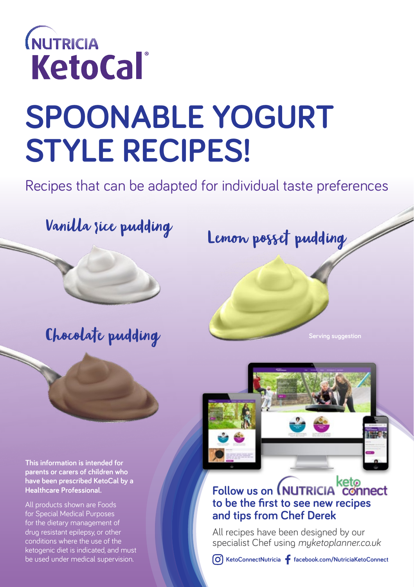

# **SPOONABLE YOGURT STYLE RECIPES!**

Recipes that can be adapted for individual taste preferences

### Chocolate pudding

**This information is intended for parents or carers of children who have been prescribed KetoCal by a Healthcare Professional.**

All products shown are Foods for Special Medical Purposes for the dietary management of drug resistant epilepsy, or other conditions where the use of the ketogenic diet is indicated, and must be used under medical supervision.

## Vanilla sice pudding<br>Lemon posset pudding

**Serving suggestion**



### **Follow us on MUTRICIA** connect **to be the first to see new recipes and tips from Chef Derek**

All recipes have been designed by our specialist Chef using *myketoplanner.co.uk*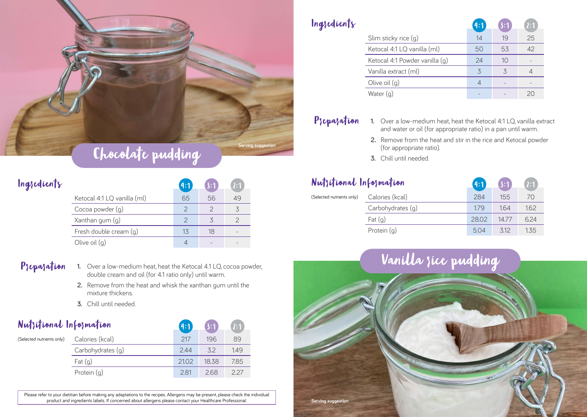

|                             | 4:1 | 3:1 | 2:1 |
|-----------------------------|-----|-----|-----|
| Ketocal 4:1 LQ vanilla (ml) | 65  | 56  | 49  |
| Cocoa powder (g)            |     |     |     |
| Xanthan gum (g)             |     |     |     |
| Fresh double cream (g)      | 13  | 18  |     |
| Olive oil (g)               |     |     |     |

Ingredients

- P<sub>}</sub>epa<sub>1</sub>ation 1. Over a low-medium heat, heat the Ketocal 4.1 LQ, cocoa powder, double cream and oil (for 4.1 ratio only) until warm.
	- **2.** Remove from the heat and whisk the xanthan gum until the mixture thickens.
	- **3.** Chill until needed.

### Nutritional Information

| $\ W\ $ or $\ W\ $ $\ W\ $ $\ W\ $ $\ W\ $ $\ W\ $ |                   | L471. | .3:T  | $\mathcal{L}^{\mathcal{L}}$ |
|----------------------------------------------------|-------------------|-------|-------|-----------------------------|
| (Selected nutrients only)                          | Calories (kcal)   | 217   | 196   | 89                          |
|                                                    | Carbohydrates (g) | 2.44  | 32    | 1.49                        |
|                                                    | $ext{a}$ (g)      | 21.02 | 18.38 | 7.85                        |
|                                                    | Protein (g)       | 2.81  | 2.68  | 2.27                        |
|                                                    |                   |       |       |                             |

Please refer to your dietitian before making any adaptations to the recipes. Allergens may be present, please check the individual product and ingredients labels. If concerned about allergens please contact your Healthcare Professional.

### Ingredients

|                                | 4:1 |    | 2:1 |
|--------------------------------|-----|----|-----|
| Slim sticky rice (g)           | 14  | 19 | 25  |
| Ketocal 4:1 LQ vanilla (ml)    | 50  | 53 | 42  |
| Ketocal 4:1 Powder vanilla (g) | 24  | 10 |     |
| Vanilla extract (ml)           | 3   | ζ  |     |
| Olive oil (g)                  |     |    |     |
| Water (g)                      |     |    |     |

- P<sub>1</sub>epa<sub>1</sub>ation 1. Over a low-medium heat, heat the Ketocal 4:1 LQ, vanilla extract and water or oil (for appropriate ratio) in a pan until warm.
	- **2.** Remove from the heat and stir in the rice and Ketocal powder (for appropriate ratio).
	- **3.** Chill until needed.

### Nutsitional Information

| $\mathbf{u}$ $\mathbf{v}$ $\mathbf{v}$ $\mathbf{v}$ $\mathbf{v}$ $\mathbf{v}$ $\mathbf{v}$ $\mathbf{v}$ $\mathbf{v}$ $\mathbf{v}$ $\mathbf{v}$ $\mathbf{v}$ $\mathbf{v}$ |                   | .421. | [3:T] | U:1  |
|--------------------------------------------------------------------------------------------------------------------------------------------------------------------------|-------------------|-------|-------|------|
| (Selected nutrients only)                                                                                                                                                | Calories (kcal)   | 284   | 155   | 70   |
|                                                                                                                                                                          | Carbohydrates (g) | 179   | 164   | 162  |
|                                                                                                                                                                          | $ext{a}$ (g)      | 28.02 | 14.77 | 6.24 |
|                                                                                                                                                                          | Protein (g)       | 5.04  | 3.12  | 1.35 |